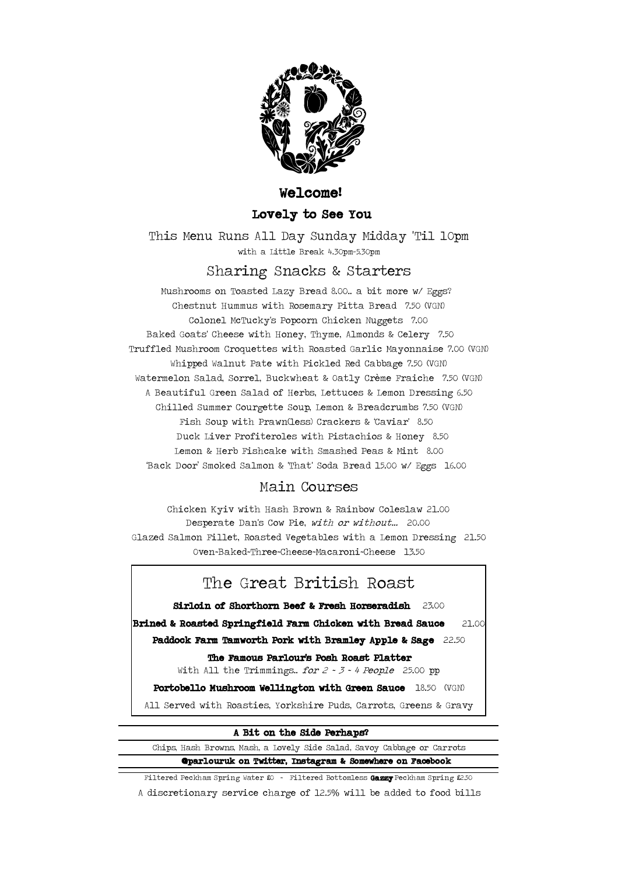

## Welcome!

## Lovely to See You

This Menu Runs All Day Sunday Midday 'Til 10pm with a Little Break 4.30pm-5.30pm

## Sharing Snacks & Starters

 Duck Liver Profiteroles with Pistachios & Honey 8.50 Fish Soup with Prawn(less) Crackers & 'Caviar' 8.50 Chilled Summer Courgette Soup, Lemon & Breadcrumbs 7.50 (VGN) Mushrooms on Toasted Lazy Bread 8.00.. a bit more w/ Eggs? Baked Goats' Cheese with Honey, Thyme, Almonds & Celery 7.50 A Beautiful Green Salad of Herbs, Lettuces & Lemon Dressing 6.50 Truffled Mushroom Croquettes with Roasted Garlic Mayonnaise 7.00 (VGN) 'Back Door' Smoked Salmon & 'That' Soda Bread 15.00 w/ Eggs 16.00 Whipped Walnut Pate with Pickled Red Cabbage 7.50 (VGN) Watermelon Salad, Sorrel, Buckwheat & Oatly Crème Fraiche 7.50 (VGN) Chestnut Hummus with Rosemary Pitta Bread 7.50 (VGN) Colonel McTucky's Popcorn Chicken Nuggets 7.00 Lemon & Herb Fishcake with Smashed Peas & Mint 8.00

# Main Courses

Desperate Dan's Cow Pie, with or without... 20.00 Oven~Baked~Three~Cheese~Macaroni~Cheese 13.50 Glazed Salmon Fillet, Roasted Vegetables with a Lemon Dressing 21.50 Chicken Kyiv with Hash Brown & Rainbow Coleslaw 21.00

# The Great British Roast

Brined & Roasted Springfield Farm Chicken with Bread Sauce 21.00 Paddock Farm Tamworth Pork with Bramley Apple & Sage 22.50 Sirloin of Shorthorn Beef & Fresh Horseradish 23.00

The Famous Parlour's Posh Roast Platter

With All the Trimmings.. for  $2 \cdot 3 \cdot 4$  People 25.00 pp

Portobello Mushroom Wellington with Green Sauce 18.50 (VGN)

All Served with Roasties, Yorkshire Puds, Carrots, Greens & Gravy

#### A Bit on the Side Perhaps?

 @parlouruk on Twitter, Instagram & Somewhere on Facebook Chips, Hash Browns, Mash, a Lovely Side Salad, Savoy Cabbage or Carrots

Filtered Peckham Spring Water  $$0$  ~ Filtered Bottomless Gazzy Peckham Spring £250

A discretionary service charge of 12.5% will be added to food bills